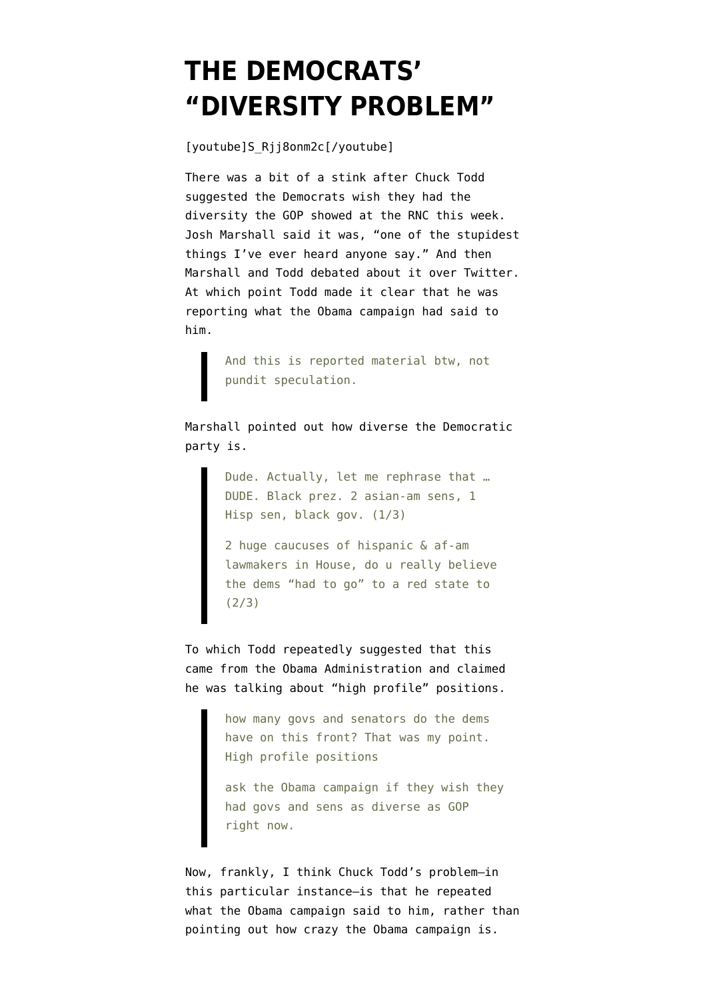## **[THE DEMOCRATS'](https://www.emptywheel.net/2012/09/01/the-democrats-diversity-problem/) ["DIVERSITY PROBLEM"](https://www.emptywheel.net/2012/09/01/the-democrats-diversity-problem/)**

[youtube]S\_Rjj8onm2c[/youtube]

There was a bit of a stink after Chuck Todd suggested the Democrats wish they had the diversity the GOP showed at the RNC this week. Josh Marshall [said](http://talkingpointsmemo.com/archives/2012/08/okay_thats_the_stupidest_thing_i_ever_heard_1.php?ref=fpblg) it was, "one of the stupidest things I've ever heard anyone say." And then Marshall and Todd debated about it over Twitter. At which point Todd [made it clear](https://twitter.com/chucktodd/status/241209833863409664) that he was reporting what the Obama campaign had said to him.

> And this is reported material btw, not pundit speculation.

Marshall [pointed out](https://twitter.com/joshtpm/status/241211165701709826) how diverse the Democratic party is.

> Dude. Actually, let me rephrase that … DUDE. Black prez. 2 asian-am sens, 1 Hisp sen, black gov. (1/3)

2 huge caucuses of hispanic & af-am lawmakers in House, do u really believe the dems "had to go" to a red state to (2/3)

To which Todd repeatedly [suggested](https://twitter.com/chucktodd/status/241206424569520128) that this came from the Obama Administration and claimed he was talking about "high profile" positions.

> how many govs and senators do the dems have on this front? That was my point. High profile positions

ask the Obama campaign if they wish they had govs and sens as diverse as GOP right now.

Now, frankly, I think Chuck Todd's problem–in this particular instance–is that he repeated what the Obama campaign said to him, rather than pointing out how crazy the Obama campaign is.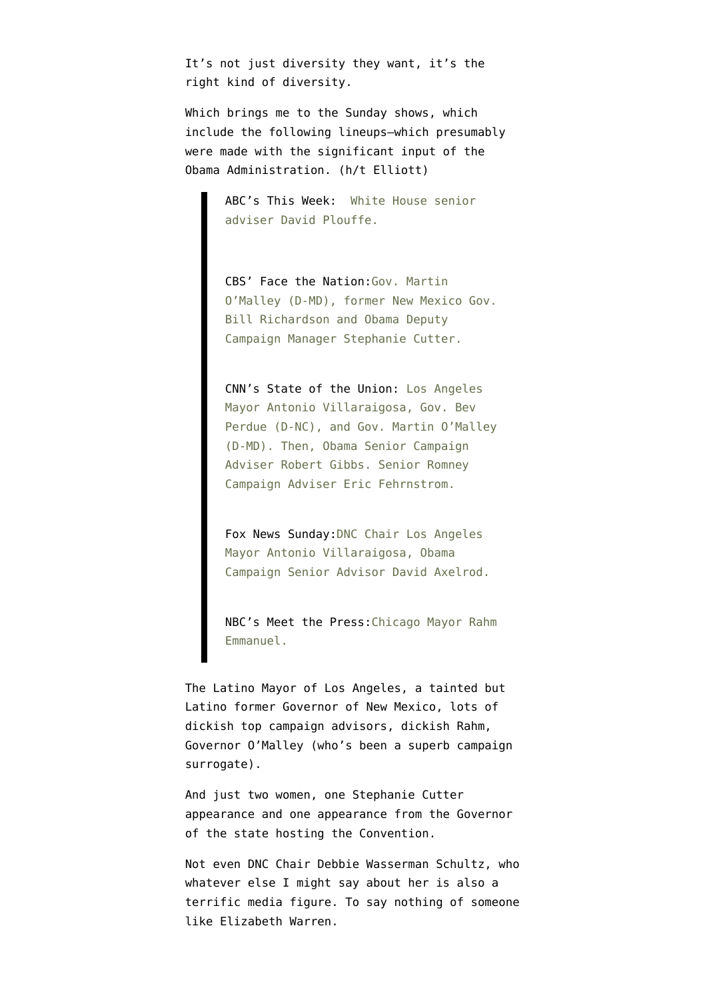It's not just diversity they want, it's the right kind of diversity.

Which brings me to the Sunday shows, which include the following lineups–which presumably were made with the significant input of the Obama Administration. (h/t Elliott)

> [ABC's This Week:](http://abcnews.go.com/Politics/coming-week-white-house-senior-adviser-david-plouffe/story?id=17115555#.UEJRsZZn3Xw) White House senior adviser David Plouffe.

[CBS' Face the Nation:G](http://www.cbsnews.com/8301-3460_162-57504592/key-dems-sunday-on-face-the-nation/?tag=showDoorLeadStoriesAreaMain;ftnLeadHero)ov. Martin O'Malley (D-MD), former New Mexico Gov. Bill Richardson and Obama Deputy Campaign Manager Stephanie Cutter.

[CNN's State of the Union:](http://sotu.blogs.cnn.com/2012/08/31/this-sunday-39/) Los Angeles Mayor Antonio Villaraigosa, Gov. Bev Perdue (D-NC), and Gov. Martin O'Malley (D-MD). Then, Obama Senior Campaign Adviser Robert Gibbs. Senior Romney Campaign Adviser Eric Fehrnstrom.

[Fox News Sunday:D](http://www.foxnews.com/on-air/fox-news-sunday/index.html)NC Chair Los Angeles Mayor Antonio Villaraigosa, Obama Campaign Senior Advisor David Axelrod.

[NBC's Meet the Press:C](http://www.msnbc.msn.com/id/3032608/ns/meet_the_press/#48794714)hicago Mayor Rahm Emmanuel.

The Latino Mayor of Los Angeles, a tainted but Latino former Governor of New Mexico, lots of dickish top campaign advisors, dickish Rahm, Governor O'Malley (who's been a superb campaign surrogate).

And just two women, one Stephanie Cutter appearance and one appearance from the Governor of the state hosting the Convention.

Not even DNC Chair Debbie Wasserman Schultz, who whatever else I might say about her is also a terrific media figure. To say nothing of someone like Elizabeth Warren.